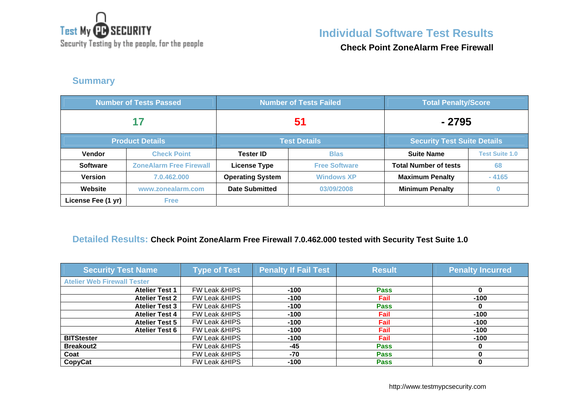

Security Testing by the people, for the people

# **Individual Software Test Results**

**Check Point ZoneAlarm Free Firewall**

### **Summary**

| <b>Number of Tests Passed</b> |                                | <b>Number of Tests Failed</b>                             |                      | <b>Total Penalty/Score</b>   |                       |
|-------------------------------|--------------------------------|-----------------------------------------------------------|----------------------|------------------------------|-----------------------|
| 17                            |                                | 51                                                        |                      | - 2795                       |                       |
|                               | <b>Product Details</b>         | <b>Security Test Suite Details</b><br><b>Test Details</b> |                      |                              |                       |
| <b>Vendor</b>                 | <b>Check Point</b>             | <b>Tester ID</b>                                          | <b>Blas</b>          | <b>Suite Name</b>            | <b>Test Suite 1.0</b> |
| <b>Software</b>               | <b>ZoneAlarm Free Firewall</b> | <b>License Type</b>                                       | <b>Free Software</b> | <b>Total Number of tests</b> | 68                    |
| <b>Version</b>                | 7.0.462.000                    | <b>Operating System</b>                                   | <b>Windows XP</b>    | <b>Maximum Penalty</b>       | $-4165$               |
| Website                       | www.zonealarm.com              | <b>Date Submitted</b>                                     | 03/09/2008           | <b>Minimum Penalty</b>       |                       |
| License Fee (1 yr)            | <b>Free</b>                    |                                                           |                      |                              |                       |

#### **Detailed Results: Check Point ZoneAlarm Free Firewall 7.0.462.000 tested with Security Test Suite 1.0**

| <b>Security Test Name</b>          | <b>Type of Test</b>      | <b>Penalty If Fail Test</b> | <b>Result</b> | <b>Penalty Incurred</b> |
|------------------------------------|--------------------------|-----------------------------|---------------|-------------------------|
| <b>Atelier Web Firewall Tester</b> |                          |                             |               |                         |
| <b>Atelier Test 1</b>              | FW Leak & HIPS           | $-100$                      | <b>Pass</b>   |                         |
| <b>Atelier Test 2</b>              | <b>FW Leak &amp;HIPS</b> | $-100$                      | <b>Fail</b>   | $-100$                  |
| <b>Atelier Test 3</b>              | <b>FW Leak &amp;HIPS</b> | $-100$                      | <b>Pass</b>   |                         |
| <b>Atelier Test 4</b>              | <b>FW Leak &amp;HIPS</b> | $-100$                      | Fail          | $-100$                  |
| <b>Atelier Test 5</b>              | FW Leak & HIPS           | $-100$                      | Fail          | $-100$                  |
| <b>Atelier Test 6</b>              | FW Leak & HIPS           | $-100$                      | Fail          | $-100$                  |
| <b>BITStester</b>                  | <b>FW Leak &amp;HIPS</b> | $-100$                      | Fail          | $-100$                  |
| <b>Breakout2</b>                   | <b>FW Leak &amp;HIPS</b> | $-45$                       | <b>Pass</b>   |                         |
| Coat                               | <b>FW Leak &amp;HIPS</b> | $-70$                       | <b>Pass</b>   |                         |
| CopyCat                            | <b>FW Leak &amp;HIPS</b> | $-100$                      | <b>Pass</b>   |                         |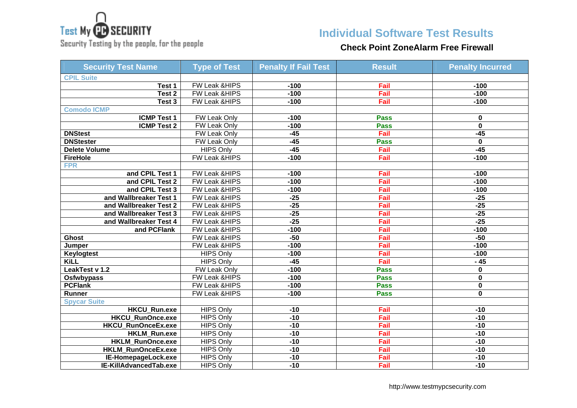

Security Testing by the people, for the people

### **Individual Software Test Results**

### **Check Point ZoneAlarm Free Firewall**

| <b>Security Test Name</b> | <b>Type of Test</b>      | <b>Penalty If Fail Test</b> | <b>Result</b> | <b>Penalty Incurred</b> |
|---------------------------|--------------------------|-----------------------------|---------------|-------------------------|
| <b>CPIL Suite</b>         |                          |                             |               |                         |
| Test 1                    | FW Leak &HIPS            | $-100$                      | Fail          | $-100$                  |
| Test <sub>2</sub>         | FW Leak & HIPS           | $-100$                      | Fail          | $-100$                  |
| Test 3                    | FW Leak & HIPS           | $-100$                      | Fail          | $-100$                  |
| <b>Comodo ICMP</b>        |                          |                             |               |                         |
| <b>ICMP Test 1</b>        | <b>FW Leak Only</b>      | $-100$                      | <b>Pass</b>   | 0                       |
| <b>ICMP Test 2</b>        | FW Leak Only             | $-100$                      | <b>Pass</b>   | $\mathbf 0$             |
| <b>DNStest</b>            | FW Leak Only             | $-45$                       | Fail          | $-45$                   |
| <b>DNStester</b>          | FW Leak Only             | $-45$                       | <b>Pass</b>   | $\mathbf 0$             |
| <b>Delete Volume</b>      | <b>HIPS Only</b>         | $-45$                       | Fail          | $-45$                   |
| <b>FireHole</b>           | FW Leak &HIPS            | $-100$                      | Fail          | $-100$                  |
| <b>FPR</b>                |                          |                             |               |                         |
| and CPIL Test 1           | FW Leak & HIPS           | $-100$                      | Fail          | $-100$                  |
| and CPIL Test 2           | FW Leak & HIPS           | $-100$                      | Fail          | $-100$                  |
| and CPIL Test 3           | FW Leak &HIPS            | $-100$                      | Fail          | $-100$                  |
| and Wallbreaker Test 1    | FW Leak & HIPS           | $-25$                       | Fail          | $-25$                   |
| and Wallbreaker Test 2    | FW Leak &HIPS            | $-25$                       | Fail          | $-25$                   |
| and Wallbreaker Test 3    | FW Leak &HIPS            | $-25$                       | Fail          | $-25$                   |
| and Wallbreaker Test 4    | FW Leak &HIPS            | $-25$                       | Fail          | $-25$                   |
| and PCFlank               | <b>FW Leak &amp;HIPS</b> | $-100$                      | Fail          | $-100$                  |
| Ghost                     | FW Leak &HIPS            | $-50$                       | Fail          | $-50$                   |
| Jumper                    | FW Leak & HIPS           | $-100$                      | Fail          | $-100$                  |
| <b>Keylogtest</b>         | <b>HIPS Only</b>         | $-100$                      | Fail          | $-100$                  |
| KiL                       | <b>HIPS Only</b>         | $-45$                       | Fail          | $-45$                   |
| LeakTest v 1.2            | FW Leak Only             | $-100$                      | <b>Pass</b>   | 0                       |
| Osfwbypass                | FW Leak & HIPS           | $-100$                      | <b>Pass</b>   | 0                       |
| <b>PCFlank</b>            | FW Leak &HIPS            | $-100$                      | <b>Pass</b>   | 0                       |
| Runner                    | FW Leak &HIPS            | $-100$                      | <b>Pass</b>   | $\mathbf 0$             |
| <b>Spycar Suite</b>       |                          |                             |               |                         |
| <b>HKCU Run.exe</b>       | <b>HIPS Only</b>         | $-10$                       | Fail          | $-10$                   |
| <b>HKCU RunOnce.exe</b>   | <b>HIPS Only</b>         | $-10$                       | Fail          | $-10$                   |
| <b>HKCU RunOnceEx.exe</b> | <b>HIPS Only</b>         | $-10$                       | Fail          | $-10$                   |
| <b>HKLM Run.exe</b>       | <b>HIPS Only</b>         | $-10$                       | Fail          | $-10$                   |
| <b>HKLM RunOnce.exe</b>   | <b>HIPS Only</b>         | $-10$                       | Fail          | $-10$                   |
| HKLM_RunOnceEx.exe        | <b>HIPS Only</b>         | $-10$                       | Fail          | $-10$                   |
| IE-HomepageLock.exe       | <b>HIPS Only</b>         | $-10$                       | Fail          | $-10$                   |
| IE-KillAdvancedTab.exe    | <b>HIPS Only</b>         | $-10$                       | Fail          | $-10$                   |